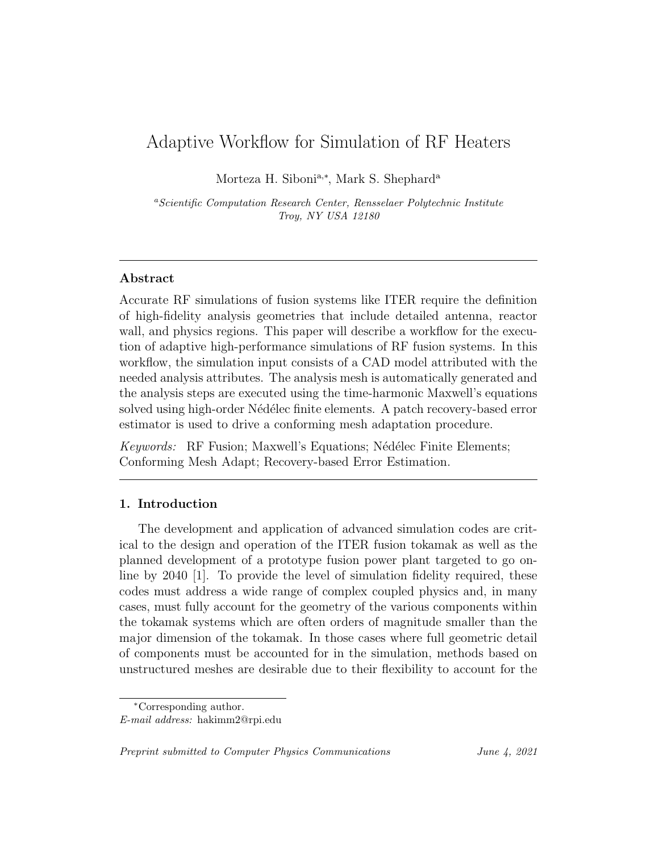# Adaptive Workflow for Simulation of RF Heaters

Morteza H. Siboni<sup>a,\*</sup>, Mark S. Shephard<sup>a</sup>

<sup>a</sup>Scientific Computation Research Center, Rensselaer Polytechnic Institute Troy, NY USA 12180

### Abstract

Accurate RF simulations of fusion systems like ITER require the definition of high-fidelity analysis geometries that include detailed antenna, reactor wall, and physics regions. This paper will describe a workflow for the execution of adaptive high-performance simulations of RF fusion systems. In this workflow, the simulation input consists of a CAD model attributed with the needed analysis attributes. The analysis mesh is automatically generated and the analysis steps are executed using the time-harmonic Maxwell's equations solved using high-order Nédélec finite elements. A patch recovery-based error estimator is used to drive a conforming mesh adaptation procedure.

Keywords: RF Fusion; Maxwell's Equations; Nédélec Finite Elements; Conforming Mesh Adapt; Recovery-based Error Estimation.

#### 1. Introduction

The development and application of advanced simulation codes are critical to the design and operation of the ITER fusion tokamak as well as the planned development of a prototype fusion power plant targeted to go online by 2040 [1]. To provide the level of simulation fidelity required, these codes must address a wide range of complex coupled physics and, in many cases, must fully account for the geometry of the various components within the tokamak systems which are often orders of magnitude smaller than the major dimension of the tokamak. In those cases where full geometric detail of components must be accounted for in the simulation, methods based on unstructured meshes are desirable due to their flexibility to account for the

Preprint submitted to Computer Physics Communications June 4, 2021

<sup>∗</sup>Corresponding author.

E-mail address: hakimm2@rpi.edu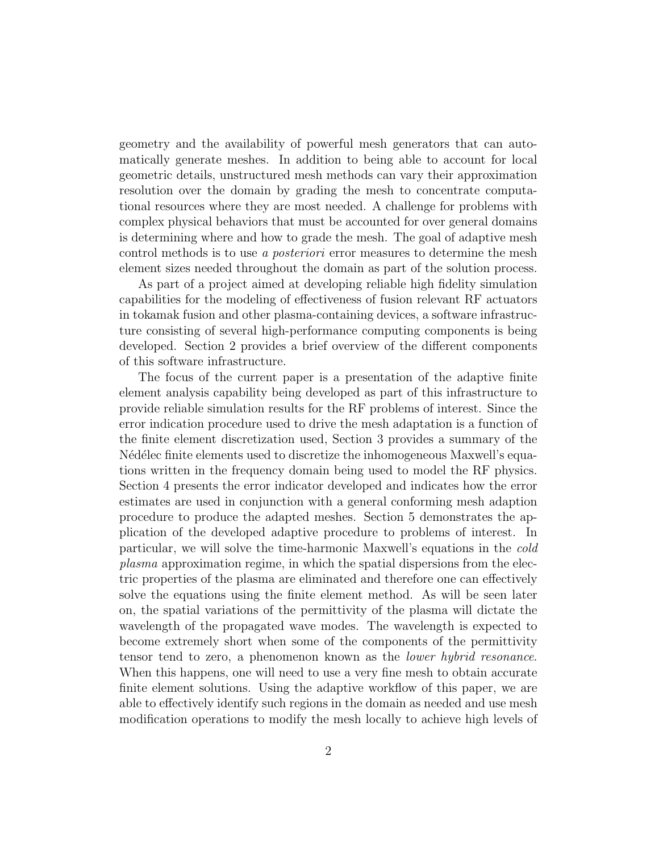geometry and the availability of powerful mesh generators that can automatically generate meshes. In addition to being able to account for local geometric details, unstructured mesh methods can vary their approximation resolution over the domain by grading the mesh to concentrate computational resources where they are most needed. A challenge for problems with complex physical behaviors that must be accounted for over general domains is determining where and how to grade the mesh. The goal of adaptive mesh control methods is to use a posteriori error measures to determine the mesh element sizes needed throughout the domain as part of the solution process.

As part of a project aimed at developing reliable high fidelity simulation capabilities for the modeling of effectiveness of fusion relevant RF actuators in tokamak fusion and other plasma-containing devices, a software infrastructure consisting of several high-performance computing components is being developed. Section 2 provides a brief overview of the different components of this software infrastructure.

The focus of the current paper is a presentation of the adaptive finite element analysis capability being developed as part of this infrastructure to provide reliable simulation results for the RF problems of interest. Since the error indication procedure used to drive the mesh adaptation is a function of the finite element discretization used, Section 3 provides a summary of the N'ed'elec finite elements used to discretize the inhomogeneous Maxwell's equations written in the frequency domain being used to model the RF physics. Section 4 presents the error indicator developed and indicates how the error estimates are used in conjunction with a general conforming mesh adaption procedure to produce the adapted meshes. Section 5 demonstrates the application of the developed adaptive procedure to problems of interest. In particular, we will solve the time-harmonic Maxwell's equations in the cold plasma approximation regime, in which the spatial dispersions from the electric properties of the plasma are eliminated and therefore one can effectively solve the equations using the finite element method. As will be seen later on, the spatial variations of the permittivity of the plasma will dictate the wavelength of the propagated wave modes. The wavelength is expected to become extremely short when some of the components of the permittivity tensor tend to zero, a phenomenon known as the lower hybrid resonance. When this happens, one will need to use a very fine mesh to obtain accurate finite element solutions. Using the adaptive workflow of this paper, we are able to effectively identify such regions in the domain as needed and use mesh modification operations to modify the mesh locally to achieve high levels of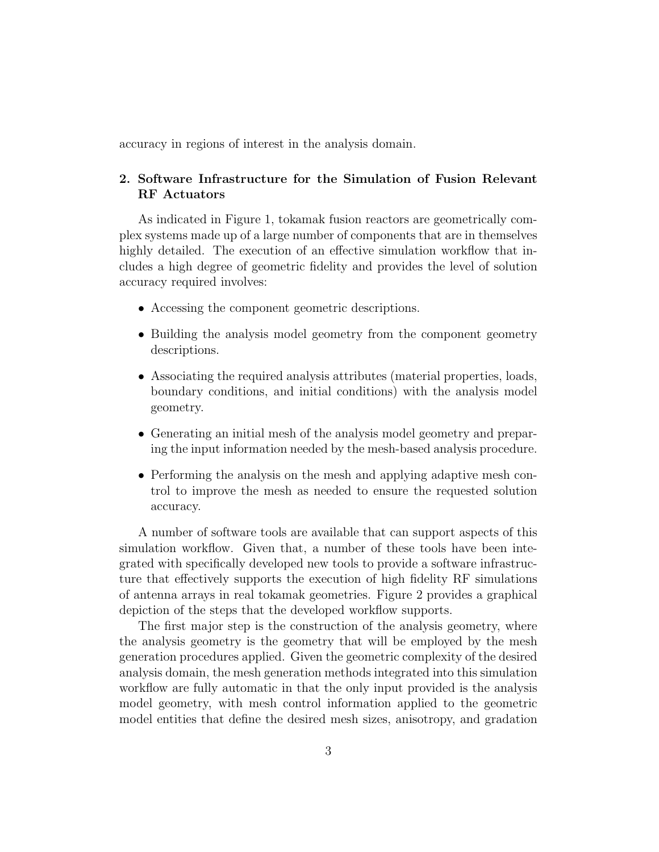accuracy in regions of interest in the analysis domain.

## 2. Software Infrastructure for the Simulation of Fusion Relevant RF Actuators

As indicated in Figure 1, tokamak fusion reactors are geometrically complex systems made up of a large number of components that are in themselves highly detailed. The execution of an effective simulation workflow that includes a high degree of geometric fidelity and provides the level of solution accuracy required involves:

- Accessing the component geometric descriptions.
- Building the analysis model geometry from the component geometry descriptions.
- Associating the required analysis attributes (material properties, loads, boundary conditions, and initial conditions) with the analysis model geometry.
- Generating an initial mesh of the analysis model geometry and preparing the input information needed by the mesh-based analysis procedure.
- Performing the analysis on the mesh and applying adaptive mesh control to improve the mesh as needed to ensure the requested solution accuracy.

A number of software tools are available that can support aspects of this simulation workflow. Given that, a number of these tools have been integrated with specifically developed new tools to provide a software infrastructure that effectively supports the execution of high fidelity RF simulations of antenna arrays in real tokamak geometries. Figure 2 provides a graphical depiction of the steps that the developed workflow supports.

The first major step is the construction of the analysis geometry, where the analysis geometry is the geometry that will be employed by the mesh generation procedures applied. Given the geometric complexity of the desired analysis domain, the mesh generation methods integrated into this simulation workflow are fully automatic in that the only input provided is the analysis model geometry, with mesh control information applied to the geometric model entities that define the desired mesh sizes, anisotropy, and gradation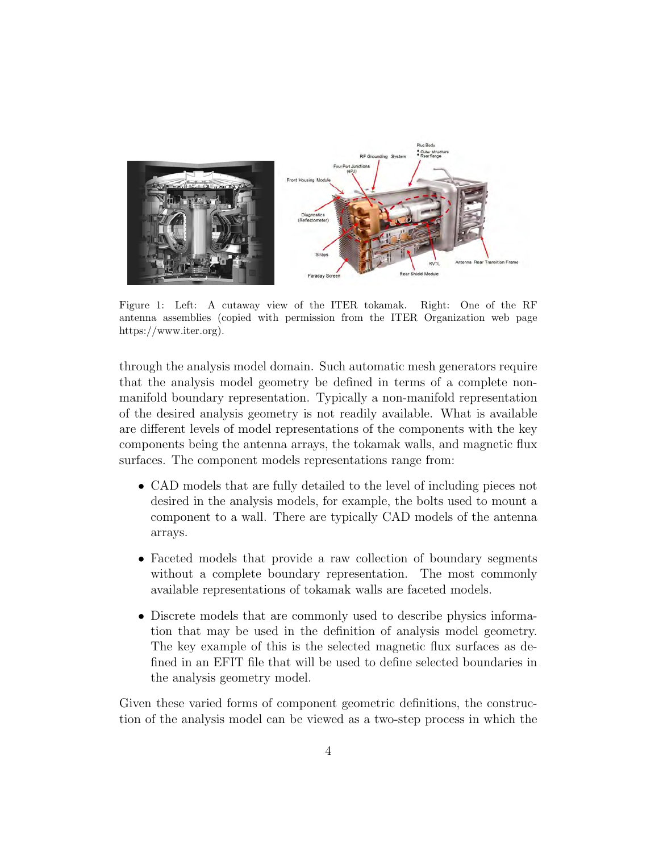

Figure 1: Left: A cutaway view of the ITER tokamak. Right: One of the RF antenna assemblies (copied with permission from the ITER Organization web page https://www.iter.org).

through the analysis model domain. Such automatic mesh generators require that the analysis model geometry be defined in terms of a complete nonmanifold boundary representation. Typically a non-manifold representation of the desired analysis geometry is not readily available. What is available are different levels of model representations of the components with the key components being the antenna arrays, the tokamak walls, and magnetic flux surfaces. The component models representations range from:

- CAD models that are fully detailed to the level of including pieces not desired in the analysis models, for example, the bolts used to mount a component to a wall. There are typically CAD models of the antenna arrays.
- Faceted models that provide a raw collection of boundary segments without a complete boundary representation. The most commonly available representations of tokamak walls are faceted models.
- Discrete models that are commonly used to describe physics information that may be used in the definition of analysis model geometry. The key example of this is the selected magnetic flux surfaces as defined in an EFIT file that will be used to define selected boundaries in the analysis geometry model.

Given these varied forms of component geometric definitions, the construction of the analysis model can be viewed as a two-step process in which the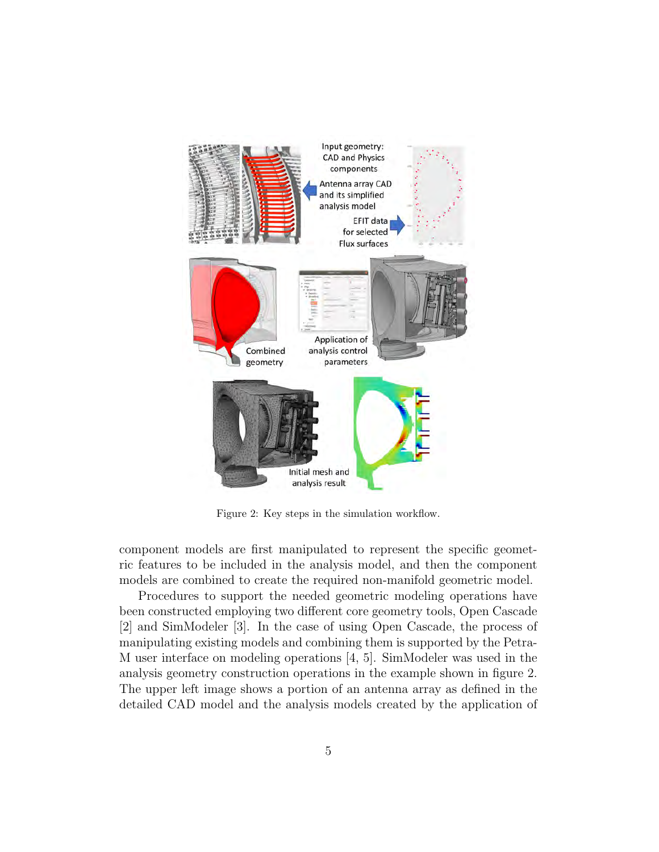

Figure 2: Key steps in the simulation workflow.

component models are first manipulated to represent the specific geometric features to be included in the analysis model, and then the component models are combined to create the required non-manifold geometric model.

Procedures to support the needed geometric modeling operations have been constructed employing two different core geometry tools, Open Cascade [2] and SimModeler [3]. In the case of using Open Cascade, the process of manipulating existing models and combining them is supported by the Petra-M user interface on modeling operations [4, 5]. SimModeler was used in the analysis geometry construction operations in the example shown in figure 2. The upper left image shows a portion of an antenna array as defined in the detailed CAD model and the analysis models created by the application of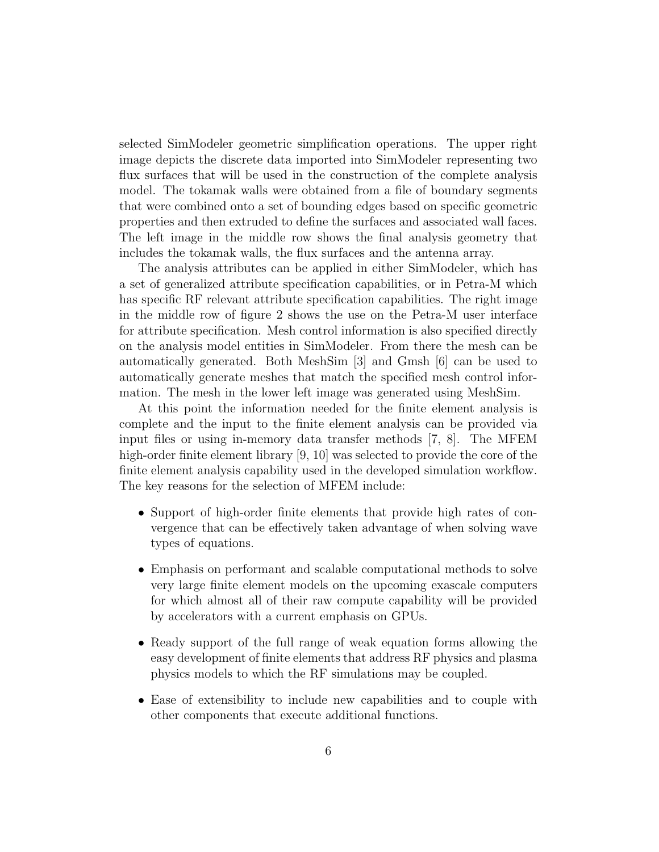selected SimModeler geometric simplification operations. The upper right image depicts the discrete data imported into SimModeler representing two flux surfaces that will be used in the construction of the complete analysis model. The tokamak walls were obtained from a file of boundary segments that were combined onto a set of bounding edges based on specific geometric properties and then extruded to define the surfaces and associated wall faces. The left image in the middle row shows the final analysis geometry that includes the tokamak walls, the flux surfaces and the antenna array.

The analysis attributes can be applied in either SimModeler, which has a set of generalized attribute specification capabilities, or in Petra-M which has specific RF relevant attribute specification capabilities. The right image in the middle row of figure 2 shows the use on the Petra-M user interface for attribute specification. Mesh control information is also specified directly on the analysis model entities in SimModeler. From there the mesh can be automatically generated. Both MeshSim [3] and Gmsh [6] can be used to automatically generate meshes that match the specified mesh control information. The mesh in the lower left image was generated using MeshSim.

At this point the information needed for the finite element analysis is complete and the input to the finite element analysis can be provided via input files or using in-memory data transfer methods [7, 8]. The MFEM high-order finite element library [9, 10] was selected to provide the core of the finite element analysis capability used in the developed simulation workflow. The key reasons for the selection of MFEM include:

- Support of high-order finite elements that provide high rates of convergence that can be effectively taken advantage of when solving wave types of equations.
- Emphasis on performant and scalable computational methods to solve very large finite element models on the upcoming exascale computers for which almost all of their raw compute capability will be provided by accelerators with a current emphasis on GPUs.
- Ready support of the full range of weak equation forms allowing the easy development of finite elements that address RF physics and plasma physics models to which the RF simulations may be coupled.
- Ease of extensibility to include new capabilities and to couple with other components that execute additional functions.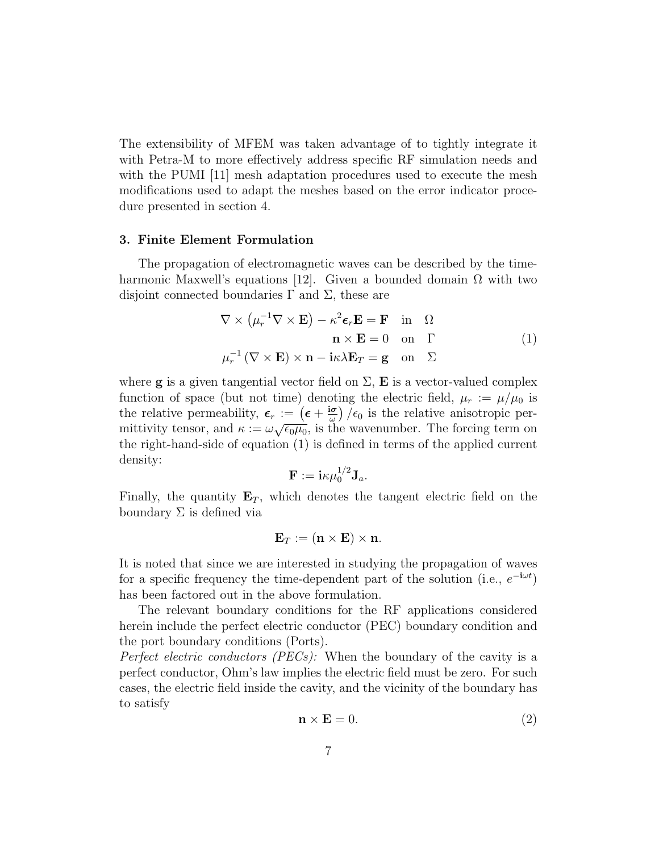The extensibility of MFEM was taken advantage of to tightly integrate it with Petra-M to more effectively address specific RF simulation needs and with the PUMI [11] mesh adaptation procedures used to execute the mesh modifications used to adapt the meshes based on the error indicator procedure presented in section 4.

#### 3. Finite Element Formulation

The propagation of electromagnetic waves can be described by the timeharmonic Maxwell's equations [12]. Given a bounded domain  $\Omega$  with two disjoint connected boundaries  $\Gamma$  and  $\Sigma$ , these are

$$
\nabla \times (\mu_r^{-1} \nabla \times \mathbf{E}) - \kappa^2 \epsilon_r \mathbf{E} = \mathbf{F} \text{ in } \Omega
$$
  
\n
$$
\mathbf{n} \times \mathbf{E} = 0 \text{ on } \Gamma
$$
  
\n
$$
\mu_r^{-1} (\nabla \times \mathbf{E}) \times \mathbf{n} - \mathbf{i} \kappa \lambda \mathbf{E}_T = \mathbf{g} \text{ on } \Sigma
$$
 (1)

where **g** is a given tangential vector field on  $\Sigma$ , **E** is a vector-valued complex function of space (but not time) denoting the electric field,  $\mu_r := \mu/\mu_0$  is the relative permeability,  $\epsilon_r := (\epsilon + \frac{\mathrm{i}\sigma}{\omega})$  $\frac{d\sigma}{d\omega}$  / $\epsilon_0$  is the relative anisotropic permittivity tensor, and  $\kappa := \omega \sqrt{\epsilon_0 \mu_0}$ , is the wavenumber. The forcing term on the right-hand-side of equation (1) is defined in terms of the applied current density:

$$
\mathbf{F} := \mathbf{i}\kappa\mu_0^{1/2}\mathbf{J}_a.
$$

Finally, the quantity  $E_T$ , which denotes the tangent electric field on the boundary  $\Sigma$  is defined via

$$
\mathbf{E}_T := (\mathbf{n} \times \mathbf{E}) \times \mathbf{n}.
$$

It is noted that since we are interested in studying the propagation of waves for a specific frequency the time-dependent part of the solution (i.e.,  $e^{-i\omega t}$ ) has been factored out in the above formulation.

The relevant boundary conditions for the RF applications considered herein include the perfect electric conductor (PEC) boundary condition and the port boundary conditions (Ports).

Perfect electric conductors (PECs): When the boundary of the cavity is a perfect conductor, Ohm's law implies the electric field must be zero. For such cases, the electric field inside the cavity, and the vicinity of the boundary has to satisfy

$$
\mathbf{n} \times \mathbf{E} = 0. \tag{2}
$$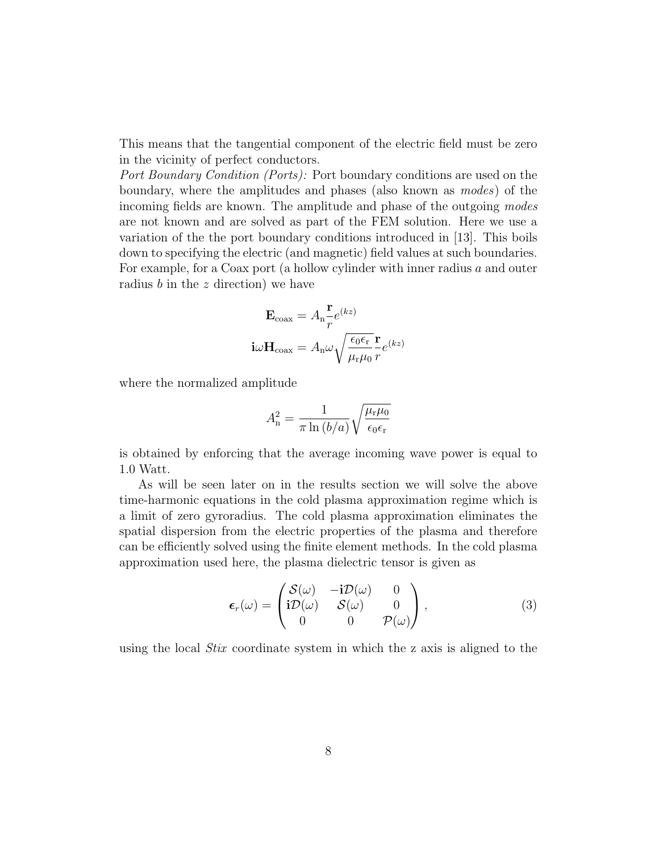This means that the tangential component of the electric field must be zero in the vicinity of perfect conductors.

Port Boundary Condition (Ports): Port boundary conditions are used on the boundary, where the amplitudes and phases (also known as modes) of the incoming fields are known. The amplitude and phase of the outgoing modes are not known and are solved as part of the FEM solution. Here we use a variation of the the port boundary conditions introduced in [13]. This boils down to specifying the electric (and magnetic) field values at such boundaries. For example, for a Coax port (a hollow cylinder with inner radius a and outer radius  $b$  in the  $z$  direction) we have

$$
\mathbf{E}_{\text{coax}} = A_{\text{n}} \frac{\mathbf{r}}{r} e^{(kz)}
$$

$$
\mathbf{i}\omega \mathbf{H}_{\text{coax}} = A_{\text{n}} \omega \sqrt{\frac{\epsilon_0 \epsilon_r}{\mu_r \mu_0}} \frac{\mathbf{r}}{r} e^{(kz)}
$$

where the normalized amplitude

$$
A_{\rm n}^2 = \frac{1}{\pi \ln\left(b/a\right)} \sqrt{\frac{\mu_{\rm r} \mu_0}{\epsilon_0 \epsilon_{\rm r}}}
$$

is obtained by enforcing that the average incoming wave power is equal to 1.0 Watt.

As will be seen later on in the results section we will solve the above time-harmonic equations in the cold plasma approximation regime which is a limit of zero gyroradius. The cold plasma approximation eliminates the spatial dispersion from the electric properties of the plasma and therefore can be efficiently solved using the finite element methods. In the cold plasma approximation used here, the plasma dielectric tensor is given as

$$
\boldsymbol{\epsilon}_r(\omega) = \begin{pmatrix} \mathcal{S}(\omega) & -\mathbf{i}\mathcal{D}(\omega) & 0 \\ \mathbf{i}\mathcal{D}(\omega) & \mathcal{S}(\omega) & 0 \\ 0 & 0 & \mathcal{P}(\omega) \end{pmatrix}, \tag{3}
$$

using the local Stix coordinate system in which the z axis is aligned to the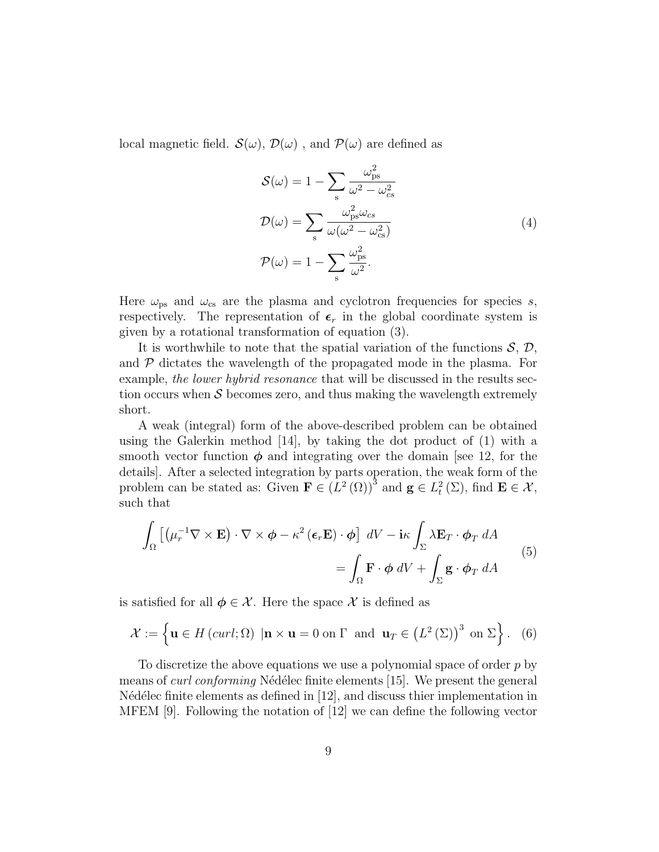local magnetic field.  $\mathcal{S}(\omega)$ ,  $\mathcal{D}(\omega)$ , and  $\mathcal{P}(\omega)$  are defined as

$$
S(\omega) = 1 - \sum_{s} \frac{\omega_{ps}^{2}}{\omega^{2} - \omega_{cs}^{2}}
$$
  

$$
D(\omega) = \sum_{s} \frac{\omega_{ps}^{2} \omega_{cs}}{\omega(\omega^{2} - \omega_{cs}^{2})}
$$
  

$$
P(\omega) = 1 - \sum_{s} \frac{\omega_{ps}^{2}}{\omega^{2}}.
$$
 (4)

Here  $\omega_{\text{ps}}$  and  $\omega_{\text{cs}}$  are the plasma and cyclotron frequencies for species s, respectively. The representation of  $\epsilon_r$  in the global coordinate system is given by a rotational transformation of equation (3).

It is worthwhile to note that the spatial variation of the functions  $S, \mathcal{D},$ and  $\mathcal P$  dictates the wavelength of the propagated mode in the plasma. For example, the lower hybrid resonance that will be discussed in the results section occurs when  $\mathcal S$  becomes zero, and thus making the wavelength extremely short.

A weak (integral) form of the above-described problem can be obtained using the Galerkin method  $[14]$ , by taking the dot product of  $(1)$  with a smooth vector function  $\phi$  and integrating over the domain [see 12, for the details]. After a selected integration by parts operation, the weak form of the problem can be stated as: Given  $\mathbf{F} \in (L^2(\Omega))^3$  and  $\mathbf{g} \in L^2(\Sigma)$ , find  $\mathbf{E} \in \mathcal{X}$ , such that

$$
\int_{\Omega} \left[ \left( \mu_r^{-1} \nabla \times \mathbf{E} \right) \cdot \nabla \times \phi - \kappa^2 \left( \boldsymbol{\epsilon}_r \mathbf{E} \right) \cdot \phi \right] dV - i\kappa \int_{\Sigma} \lambda \mathbf{E}_T \cdot \phi_T dA
$$
\n
$$
= \int_{\Omega} \mathbf{F} \cdot \phi dV + \int_{\Sigma} \mathbf{g} \cdot \phi_T dA
$$
\n(5)

is satisfied for all  $\phi \in \mathcal{X}$ . Here the space  $\mathcal{X}$  is defined as

$$
\mathcal{X} := \left\{ \mathbf{u} \in H\left(\text{curl}; \Omega\right) \mid \mathbf{n} \times \mathbf{u} = 0 \text{ on } \Gamma \text{ and } \mathbf{u}_T \in \left(L^2\left(\Sigma\right)\right)^3 \text{ on } \Sigma \right\}. \tag{6}
$$

To discretize the above equations we use a polynomial space of order  $p$  by means of *curl conforming* Nédélec finite elements [15]. We present the general N'ed'elec finite elements as defined in  $[12]$ , and discuss thier implementation in MFEM [9]. Following the notation of [12] we can define the following vector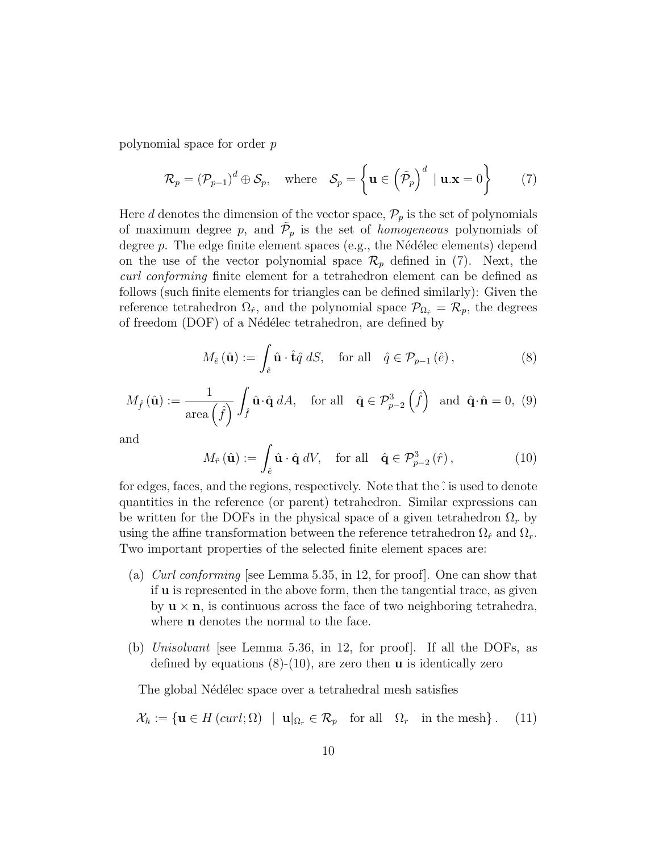polynomial space for order p

$$
\mathcal{R}_p = (\mathcal{P}_{p-1})^d \oplus \mathcal{S}_p, \quad \text{where} \quad \mathcal{S}_p = \left\{ \mathbf{u} \in \left( \tilde{\mathcal{P}}_p \right)^d \mid \mathbf{u} . \mathbf{x} = 0 \right\} \tag{7}
$$

Here d denotes the dimension of the vector space,  $\mathcal{P}_p$  is the set of polynomials of maximum degree p, and  $\tilde{\mathcal{P}}_p$  is the set of *homogeneous* polynomials of degree  $p$ . The edge finite element spaces (e.g., the Nédélec elements) depend on the use of the vector polynomial space  $\mathcal{R}_p$  defined in (7). Next, the curl conforming finite element for a tetrahedron element can be defined as follows (such finite elements for triangles can be defined similarly): Given the reference tetrahedron  $\Omega_{\hat{r}}$ , and the polynomial space  $\mathcal{P}_{\Omega_{\hat{r}}} = \mathcal{R}_p$ , the degrees of freedom (DOF) of a Nédélec tetrahedron, are defined by

$$
M_{\hat{e}}\left(\hat{\mathbf{u}}\right) := \int_{\hat{e}} \hat{\mathbf{u}} \cdot \hat{\mathbf{t}} \hat{q} \, dS, \quad \text{for all} \quad \hat{q} \in \mathcal{P}_{p-1}\left(\hat{e}\right),\tag{8}
$$

$$
M_{\hat{f}}(\hat{\mathbf{u}}) := \frac{1}{\text{area}\left(\hat{f}\right)} \int_{\hat{f}} \hat{\mathbf{u}} \cdot \hat{\mathbf{q}} \, dA, \quad \text{for all} \quad \hat{\mathbf{q}} \in \mathcal{P}_{p-2}^3\left(\hat{f}\right) \text{ and } \hat{\mathbf{q}} \cdot \hat{\mathbf{n}} = 0, \tag{9}
$$

and

$$
M_{\hat{r}}\left(\hat{\mathbf{u}}\right) := \int_{\hat{e}} \hat{\mathbf{u}} \cdot \hat{\mathbf{q}} \, dV, \quad \text{for all} \quad \hat{\mathbf{q}} \in \mathcal{P}_{p-2}^{3}\left(\hat{r}\right),\tag{10}
$$

for edges, faces, and the regions, respectively. Note that the  $\hat{\cdot}$  is used to denote quantities in the reference (or parent) tetrahedron. Similar expressions can be written for the DOFs in the physical space of a given tetrahedron  $\Omega_r$  by using the affine transformation between the reference tetrahedron  $\Omega_{\hat{r}}$  and  $\Omega_{r}$ . Two important properties of the selected finite element spaces are:

- (a) Curl conforming [see Lemma 5.35, in 12, for proof]. One can show that if u is represented in the above form, then the tangential trace, as given by  $\mathbf{u} \times \mathbf{n}$ , is continuous across the face of two neighboring tetrahedra, where **n** denotes the normal to the face.
- (b) Unisolvant [see Lemma 5.36, in 12, for proof]. If all the DOFs, as defined by equations  $(8)-(10)$ , are zero then **u** is identically zero

The global Nédélec space over a tetrahedral mesh satisfies

$$
\mathcal{X}_h := \{ \mathbf{u} \in H(\operatorname{curl}; \Omega) \mid \mathbf{u}|_{\Omega_r} \in \mathcal{R}_p \quad \text{for all} \quad \Omega_r \quad \text{in the mesh} \}. \tag{11}
$$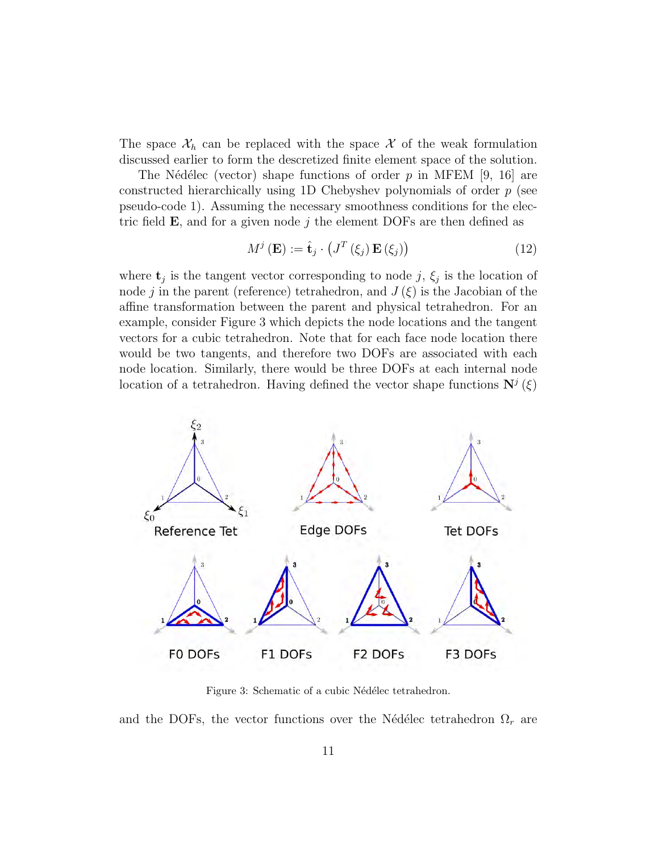The space  $\mathcal{X}_h$  can be replaced with the space X of the weak formulation discussed earlier to form the descretized finite element space of the solution.

The Nédélec (vector) shape functions of order p in MFEM [9, 16] are constructed hierarchically using 1D Chebyshev polynomials of order  $p$  (see pseudo-code 1). Assuming the necessary smoothness conditions for the electric field  $\bf{E}$ , and for a given node j the element DOFs are then defined as

$$
M^{j}\left(\mathbf{E}\right) := \hat{\mathbf{t}}_{j} \cdot \left(J^{T}\left(\xi_{j}\right) \mathbf{E}\left(\xi_{j}\right)\right) \tag{12}
$$

where  $\mathbf{t}_j$  is the tangent vector corresponding to node j,  $\xi_j$  is the location of node j in the parent (reference) tetrahedron, and  $J(\xi)$  is the Jacobian of the affine transformation between the parent and physical tetrahedron. For an example, consider Figure 3 which depicts the node locations and the tangent vectors for a cubic tetrahedron. Note that for each face node location there would be two tangents, and therefore two DOFs are associated with each node location. Similarly, there would be three DOFs at each internal node location of a tetrahedron. Having defined the vector shape functions  $\mathbf{N}^{j}(\xi)$ 



Figure 3: Schematic of a cubic Nédélec tetrahedron.

and the DOFs, the vector functions over the Nédélec tetrahedron  $\Omega_r$  are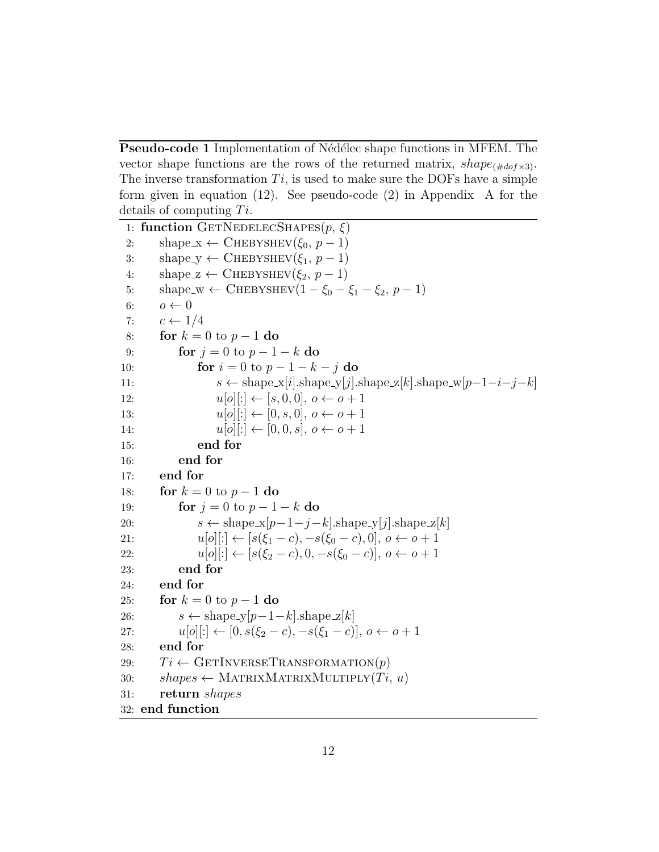Pseudo-code 1 Implementation of Nédélec shape functions in MFEM. The vector shape functions are the rows of the returned matrix,  $shape_{(\# do f \times 3)}$ . The inverse transformation  $Ti$ , is used to make sure the DOFs have a simple form given in equation (12). See pseudo-code (2) in Appendix A for the details of computing  $Ti$ .

```
1: function GETNEDELECSHAPES(p, \xi)2: shape x \leftarrow CHEBYSHEV(\xi_0, p-1)
3: shape_y \leftarrow CHEBYSHEV(\xi_1, p-1)
4: shape z \leftarrow CHEBYSHEV(\xi_2, p-1)
5: shape_w ← CHEBYSHEV(1 - \xi_0 - \xi_1 - \xi_2, p - 1)6: o \leftarrow 07: c \leftarrow 1/48: for k = 0 to p - 1 do
9: for j = 0 to p - 1 - k do
10: for i = 0 to p - 1 - k - j do
11: s \leftarrow \text{shape\_x}[i].\text{shape\_y}[j].\text{shape\_z}[k].\text{shape\_w}[p-1-i-j-k]12: u[o][:] \leftarrow [s, 0, 0], o \leftarrow o + 113: u[o][:] \leftarrow [0, s, 0], o \leftarrow o + 114: u[o][:] \leftarrow [0, 0, s], o \leftarrow o + 115: end for
16: end for
17: end for
18: for k = 0 to p - 1 do
19: for j = 0 to p - 1 - k do
20: s \leftarrow \text{shape\_x}[p-1-j-k].\text{shape\_y}[j].\text{shape\_z}[k]21: u[o][:] \leftarrow [s(\xi_1 - c), -s(\xi_0 - c), 0], o \leftarrow o + 122: u[o][:] \leftarrow [s(\xi_2 - c), 0, -s(\xi_0 - c)], o \leftarrow o + 123: end for
24: end for
25: for k = 0 to p - 1 do
26: s \leftarrow \text{shape_y}[p-1-k].\text{shape_z}[k]27: u[o][:] \leftarrow [0, s(\xi_2 - c), -s(\xi_1 - c)], o \leftarrow o + 128: end for
29: Ti \leftarrow \text{GETINVERSETRANSFORMATION}(p)30: shapes \leftarrow \text{MATRIXMATRIXMULTIPLY}(Ti, u)31: return shapes
32: end function
```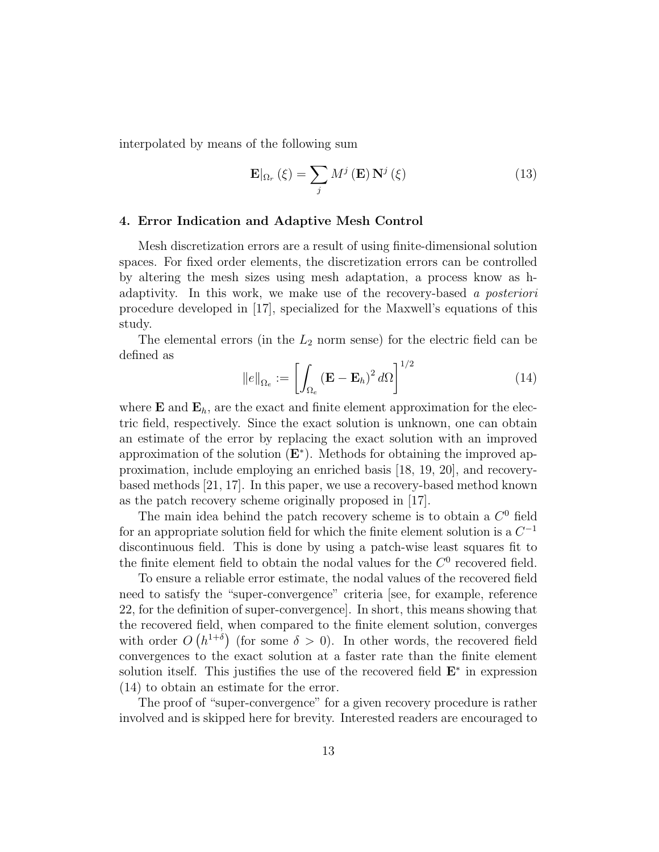interpolated by means of the following sum

$$
\mathbf{E}|_{\Omega_r}(\xi) = \sum_j M^j(\mathbf{E}) \mathbf{N}^j(\xi)
$$
 (13)

#### 4. Error Indication and Adaptive Mesh Control

Mesh discretization errors are a result of using finite-dimensional solution spaces. For fixed order elements, the discretization errors can be controlled by altering the mesh sizes using mesh adaptation, a process know as hadaptivity. In this work, we make use of the recovery-based a posteriori procedure developed in [17], specialized for the Maxwell's equations of this study.

The elemental errors (in the  $L_2$  norm sense) for the electric field can be defined as

$$
||e||_{\Omega_e} := \left[ \int_{\Omega_e} (\mathbf{E} - \mathbf{E}_h)^2 d\Omega \right]^{1/2}
$$
 (14)

where  $\mathbf E$  and  $\mathbf E_h$ , are the exact and finite element approximation for the electric field, respectively. Since the exact solution is unknown, one can obtain an estimate of the error by replacing the exact solution with an improved approximation of the solution  $(E^*)$ . Methods for obtaining the improved approximation, include employing an enriched basis [18, 19, 20], and recoverybased methods [21, 17]. In this paper, we use a recovery-based method known as the patch recovery scheme originally proposed in [17].

The main idea behind the patch recovery scheme is to obtain a  $C<sup>0</sup>$  field for an appropriate solution field for which the finite element solution is a  $C^{-1}$ discontinuous field. This is done by using a patch-wise least squares fit to the finite element field to obtain the nodal values for the  $C^0$  recovered field.

To ensure a reliable error estimate, the nodal values of the recovered field need to satisfy the "super-convergence" criteria [see, for example, reference 22, for the definition of super-convergence]. In short, this means showing that the recovered field, when compared to the finite element solution, converges with order  $O(n^{1+\delta})$  (for some  $\delta > 0$ ). In other words, the recovered field convergences to the exact solution at a faster rate than the finite element solution itself. This justifies the use of the recovered field  $E^*$  in expression (14) to obtain an estimate for the error.

The proof of "super-convergence" for a given recovery procedure is rather involved and is skipped here for brevity. Interested readers are encouraged to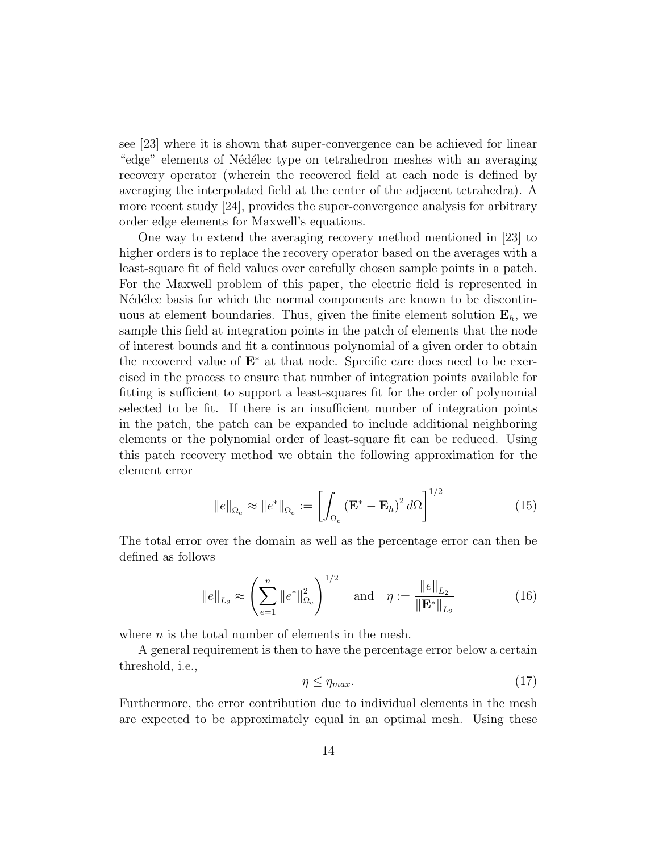see [23] where it is shown that super-convergence can be achieved for linear "edge" elements of Nédélec type on tetrahedron meshes with an averaging recovery operator (wherein the recovered field at each node is defined by averaging the interpolated field at the center of the adjacent tetrahedra). A more recent study [24], provides the super-convergence analysis for arbitrary order edge elements for Maxwell's equations.

One way to extend the averaging recovery method mentioned in [23] to higher orders is to replace the recovery operator based on the averages with a least-square fit of field values over carefully chosen sample points in a patch. For the Maxwell problem of this paper, the electric field is represented in N'ed'elec basis for which the normal components are known to be discontinuous at element boundaries. Thus, given the finite element solution  $\mathbf{E}_h$ , we sample this field at integration points in the patch of elements that the node of interest bounds and fit a continuous polynomial of a given order to obtain the recovered value of  $E^*$  at that node. Specific care does need to be exercised in the process to ensure that number of integration points available for fitting is sufficient to support a least-squares fit for the order of polynomial selected to be fit. If there is an insufficient number of integration points in the patch, the patch can be expanded to include additional neighboring elements or the polynomial order of least-square fit can be reduced. Using this patch recovery method we obtain the following approximation for the element error

$$
||e||_{\Omega_e} \approx ||e^*||_{\Omega_e} := \left[ \int_{\Omega_e} \left( \mathbf{E}^* - \mathbf{E}_h \right)^2 d\Omega \right]^{1/2} \tag{15}
$$

The total error over the domain as well as the percentage error can then be defined as follows

$$
\|e\|_{L_2} \approx \left(\sum_{e=1}^n \|e^*\|_{\Omega_e}^2\right)^{1/2} \quad \text{and} \quad \eta := \frac{\|e\|_{L_2}}{\|\mathbf{E}^*\|_{L_2}} \tag{16}
$$

where  $n$  is the total number of elements in the mesh.

A general requirement is then to have the percentage error below a certain threshold, i.e.,

$$
\eta \le \eta_{max}.\tag{17}
$$

Furthermore, the error contribution due to individual elements in the mesh are expected to be approximately equal in an optimal mesh. Using these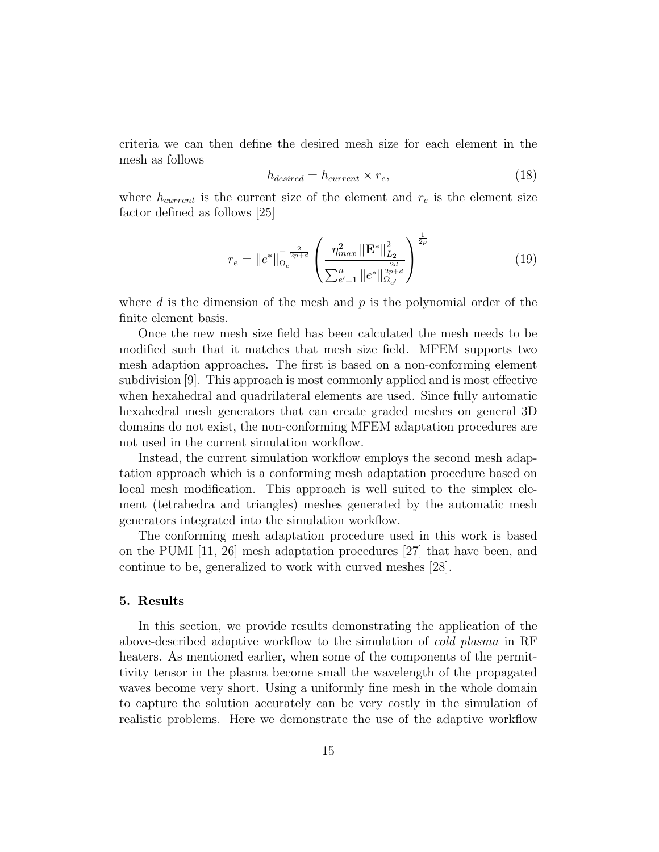criteria we can then define the desired mesh size for each element in the mesh as follows

$$
h_{desired} = h_{current} \times r_e,
$$
\n(18)

where  $h_{current}$  is the current size of the element and  $r_e$  is the element size factor defined as follows [25]

$$
r_e = \|e^*\|_{\Omega_e}^{-\frac{2}{2p+d}} \left(\frac{\eta_{max}^2 \|\mathbf{E}^*\|_{L_2}^2}{\sum_{e'=1}^n \|e^*\|_{\Omega_{e'}}^{\frac{2d}{2p+d}}}\right)^{\frac{1}{2p}}
$$
(19)

where d is the dimension of the mesh and  $p$  is the polynomial order of the finite element basis.

Once the new mesh size field has been calculated the mesh needs to be modified such that it matches that mesh size field. MFEM supports two mesh adaption approaches. The first is based on a non-conforming element subdivision [9]. This approach is most commonly applied and is most effective when hexahedral and quadrilateral elements are used. Since fully automatic hexahedral mesh generators that can create graded meshes on general 3D domains do not exist, the non-conforming MFEM adaptation procedures are not used in the current simulation workflow.

Instead, the current simulation workflow employs the second mesh adaptation approach which is a conforming mesh adaptation procedure based on local mesh modification. This approach is well suited to the simplex element (tetrahedra and triangles) meshes generated by the automatic mesh generators integrated into the simulation workflow.

The conforming mesh adaptation procedure used in this work is based on the PUMI [11, 26] mesh adaptation procedures [27] that have been, and continue to be, generalized to work with curved meshes [28].

#### 5. Results

In this section, we provide results demonstrating the application of the above-described adaptive workflow to the simulation of cold plasma in RF heaters. As mentioned earlier, when some of the components of the permittivity tensor in the plasma become small the wavelength of the propagated waves become very short. Using a uniformly fine mesh in the whole domain to capture the solution accurately can be very costly in the simulation of realistic problems. Here we demonstrate the use of the adaptive workflow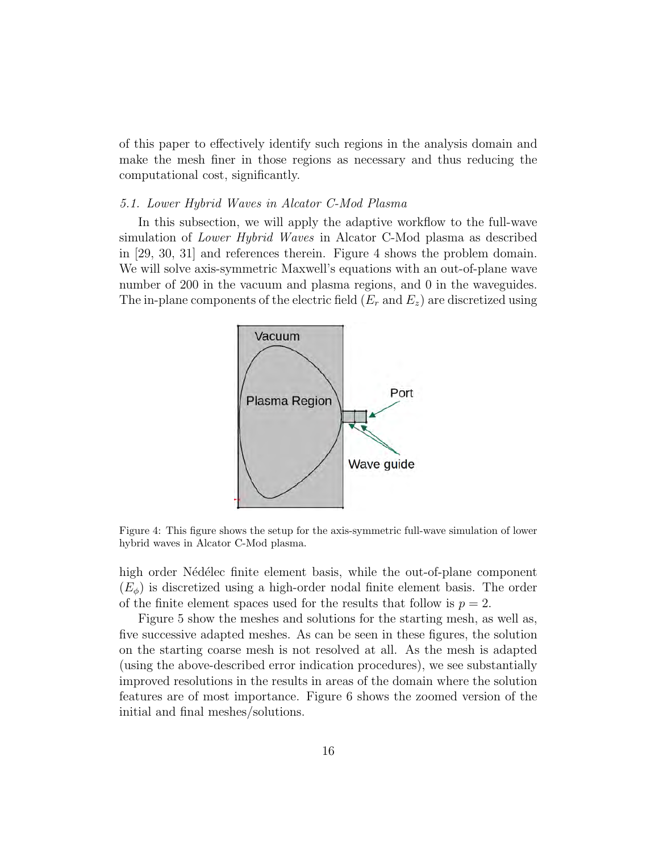of this paper to effectively identify such regions in the analysis domain and make the mesh finer in those regions as necessary and thus reducing the computational cost, significantly.

#### 5.1. Lower Hybrid Waves in Alcator C-Mod Plasma

In this subsection, we will apply the adaptive workflow to the full-wave simulation of Lower Hybrid Waves in Alcator C-Mod plasma as described in [29, 30, 31] and references therein. Figure 4 shows the problem domain. We will solve axis-symmetric Maxwell's equations with an out-of-plane wave number of 200 in the vacuum and plasma regions, and 0 in the waveguides. The in-plane components of the electric field  $(E_r \text{ and } E_z)$  are discretized using



Figure 4: This figure shows the setup for the axis-symmetric full-wave simulation of lower hybrid waves in Alcator C-Mod plasma.

high order Nédélec finite element basis, while the out-of-plane component  $(E_{\phi})$  is discretized using a high-order nodal finite element basis. The order of the finite element spaces used for the results that follow is  $p = 2$ .

Figure 5 show the meshes and solutions for the starting mesh, as well as, five successive adapted meshes. As can be seen in these figures, the solution on the starting coarse mesh is not resolved at all. As the mesh is adapted (using the above-described error indication procedures), we see substantially improved resolutions in the results in areas of the domain where the solution features are of most importance. Figure 6 shows the zoomed version of the initial and final meshes/solutions.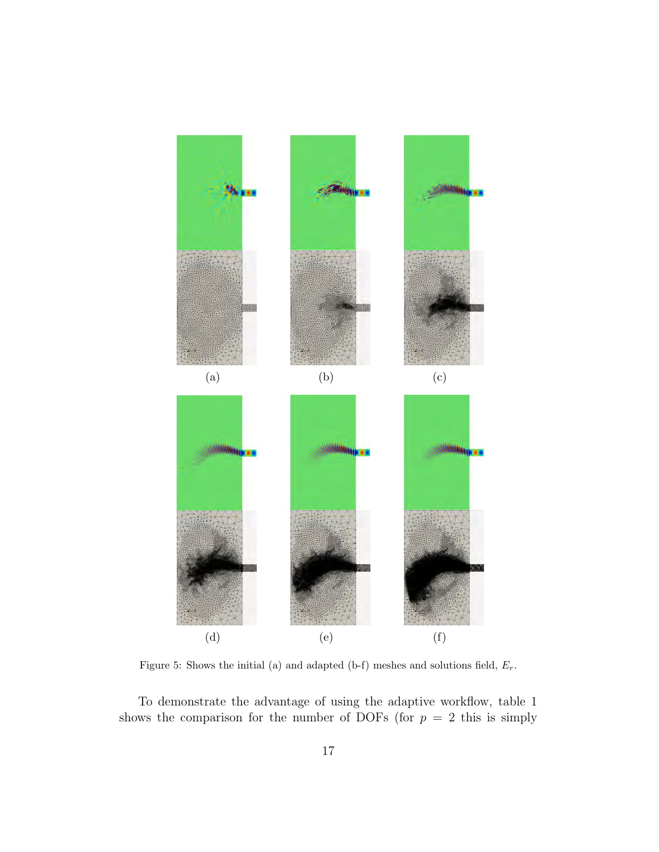

Figure 5: Shows the initial (a) and adapted (b-f) meshes and solutions field,  $E_r$ .

To demonstrate the advantage of using the adaptive workflow, table 1 shows the comparison for the number of DOFs (for  $p = 2$  this is simply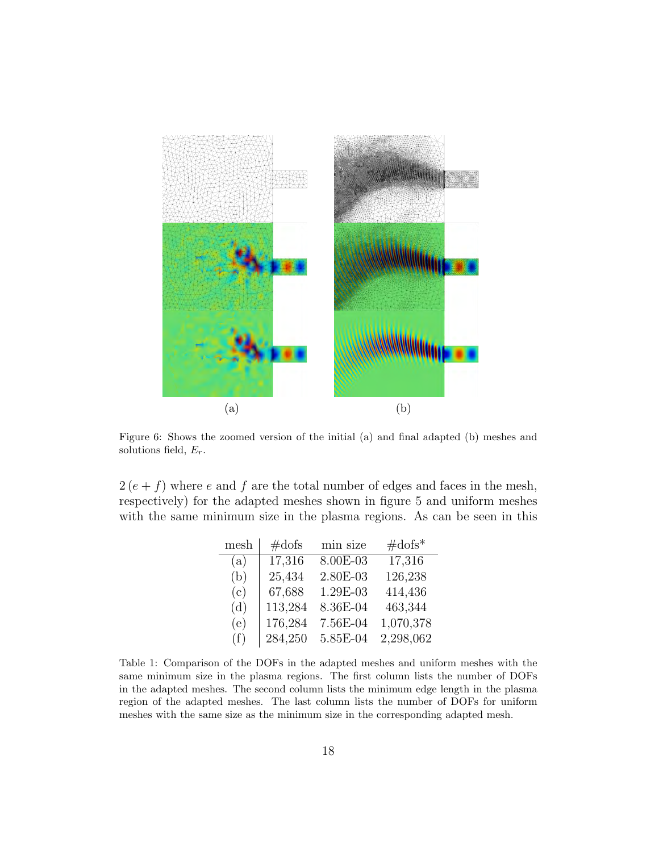

Figure 6: Shows the zoomed version of the initial (a) and final adapted (b) meshes and solutions field,  $E_r$ .

 $2(e + f)$  where e and f are the total number of edges and faces in the mesh, respectively) for the adapted meshes shown in figure 5 and uniform meshes with the same minimum size in the plasma regions. As can be seen in this

| mesh | $\#\text{dofs}$ | min size | $\#\text{dofs}^*$ |
|------|-----------------|----------|-------------------|
| (a)  | 17,316          | 8.00E-03 | 17,316            |
| (b)  | 25,434          | 2.80E-03 | 126,238           |
| (c)  | 67,688          | 1.29E-03 | 414,436           |
| (d)  | 113,284         | 8.36E-04 | 463,344           |
| (e)  | 176,284         | 7.56E-04 | 1,070,378         |
| (f)  | 284,250         | 5.85E-04 | 2,298,062         |

Table 1: Comparison of the DOFs in the adapted meshes and uniform meshes with the same minimum size in the plasma regions. The first column lists the number of DOFs in the adapted meshes. The second column lists the minimum edge length in the plasma region of the adapted meshes. The last column lists the number of DOFs for uniform meshes with the same size as the minimum size in the corresponding adapted mesh.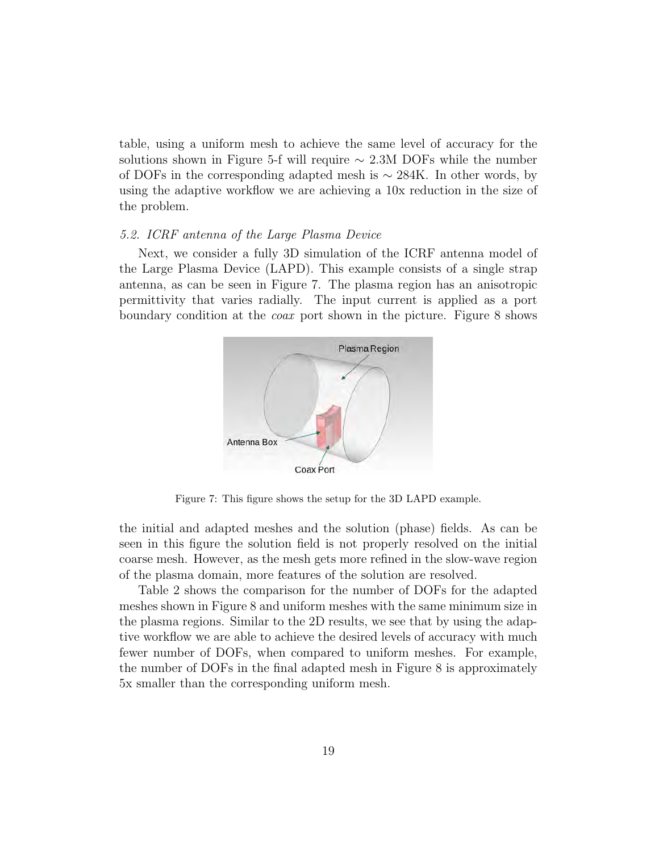table, using a uniform mesh to achieve the same level of accuracy for the solutions shown in Figure 5-f will require  $\sim 2.3M$  DOFs while the number of DOFs in the corresponding adapted mesh is  $\sim$  284K. In other words, by using the adaptive workflow we are achieving a 10x reduction in the size of the problem.

#### 5.2. ICRF antenna of the Large Plasma Device

Next, we consider a fully 3D simulation of the ICRF antenna model of the Large Plasma Device (LAPD). This example consists of a single strap antenna, as can be seen in Figure 7. The plasma region has an anisotropic permittivity that varies radially. The input current is applied as a port boundary condition at the coax port shown in the picture. Figure 8 shows



Figure 7: This figure shows the setup for the 3D LAPD example.

the initial and adapted meshes and the solution (phase) fields. As can be seen in this figure the solution field is not properly resolved on the initial coarse mesh. However, as the mesh gets more refined in the slow-wave region of the plasma domain, more features of the solution are resolved.

Table 2 shows the comparison for the number of DOFs for the adapted meshes shown in Figure 8 and uniform meshes with the same minimum size in the plasma regions. Similar to the 2D results, we see that by using the adaptive workflow we are able to achieve the desired levels of accuracy with much fewer number of DOFs, when compared to uniform meshes. For example, the number of DOFs in the final adapted mesh in Figure 8 is approximately 5x smaller than the corresponding uniform mesh.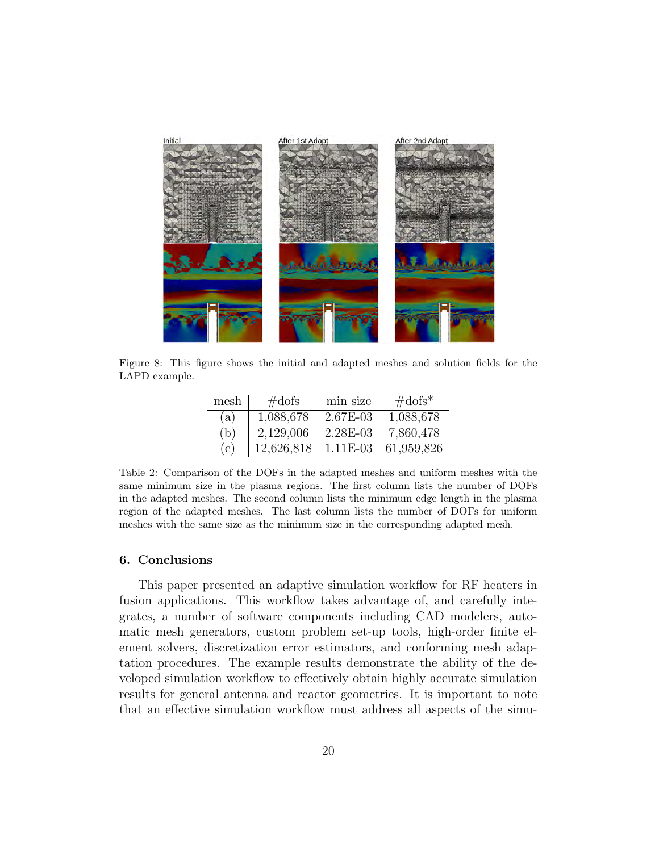

Figure 8: This figure shows the initial and adapted meshes and solution fields for the LAPD example.

| mesh | $\#$ dofs  | min size   | $\#\text{dofs}^*$ |
|------|------------|------------|-------------------|
| (a)  | 1,088,678  | $2.67E-03$ | 1,088,678         |
| (b)  | 2,129,006  | 2.28E-03   | 7,860,478         |
| (c)  | 12,626,818 | $1.11E-03$ | 61,959,826        |

Table 2: Comparison of the DOFs in the adapted meshes and uniform meshes with the same minimum size in the plasma regions. The first column lists the number of DOFs in the adapted meshes. The second column lists the minimum edge length in the plasma region of the adapted meshes. The last column lists the number of DOFs for uniform meshes with the same size as the minimum size in the corresponding adapted mesh.

#### 6. Conclusions

This paper presented an adaptive simulation workflow for RF heaters in fusion applications. This workflow takes advantage of, and carefully integrates, a number of software components including CAD modelers, automatic mesh generators, custom problem set-up tools, high-order finite element solvers, discretization error estimators, and conforming mesh adaptation procedures. The example results demonstrate the ability of the developed simulation workflow to effectively obtain highly accurate simulation results for general antenna and reactor geometries. It is important to note that an effective simulation workflow must address all aspects of the simu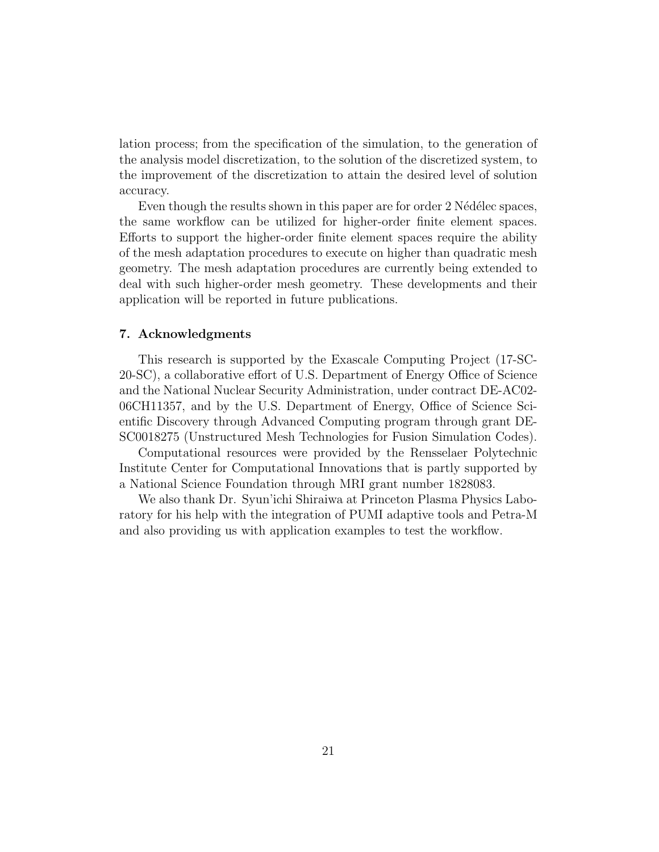lation process; from the specification of the simulation, to the generation of the analysis model discretization, to the solution of the discretized system, to the improvement of the discretization to attain the desired level of solution accuracy.

Even though the results shown in this paper are for order 2 Nédélec spaces, the same workflow can be utilized for higher-order finite element spaces. Efforts to support the higher-order finite element spaces require the ability of the mesh adaptation procedures to execute on higher than quadratic mesh geometry. The mesh adaptation procedures are currently being extended to deal with such higher-order mesh geometry. These developments and their application will be reported in future publications.

### 7. Acknowledgments

This research is supported by the Exascale Computing Project (17-SC-20-SC), a collaborative effort of U.S. Department of Energy Office of Science and the National Nuclear Security Administration, under contract DE-AC02- 06CH11357, and by the U.S. Department of Energy, Office of Science Scientific Discovery through Advanced Computing program through grant DE-SC0018275 (Unstructured Mesh Technologies for Fusion Simulation Codes).

Computational resources were provided by the Rensselaer Polytechnic Institute Center for Computational Innovations that is partly supported by a National Science Foundation through MRI grant number 1828083.

We also thank Dr. Syun'ichi Shiraiwa at Princeton Plasma Physics Laboratory for his help with the integration of PUMI adaptive tools and Petra-M and also providing us with application examples to test the workflow.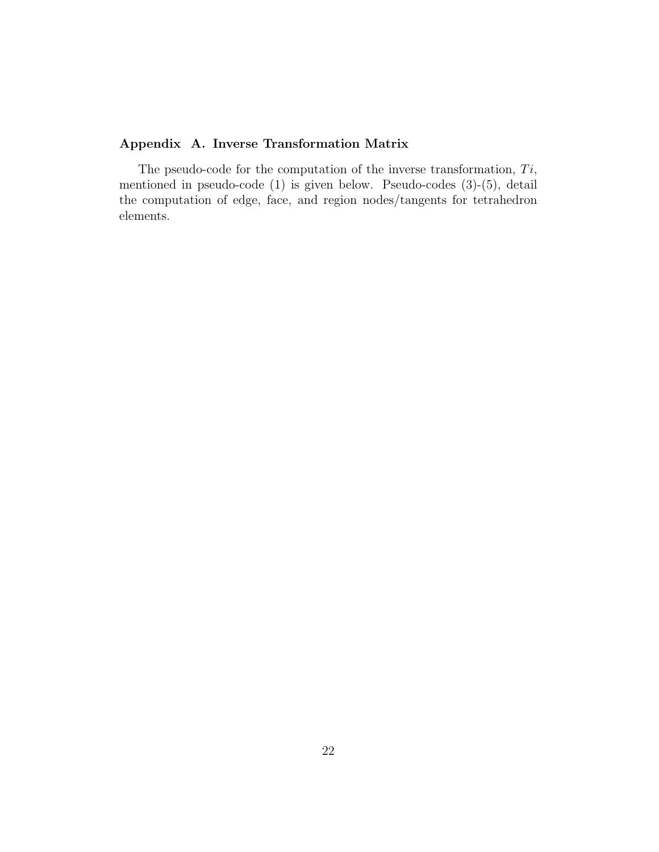# Appendix A. Inverse Transformation Matrix

The pseudo-code for the computation of the inverse transformation,  $Ti$ , mentioned in pseudo-code (1) is given below. Pseudo-codes (3)-(5), detail the computation of edge, face, and region nodes/tangents for tetrahedron elements.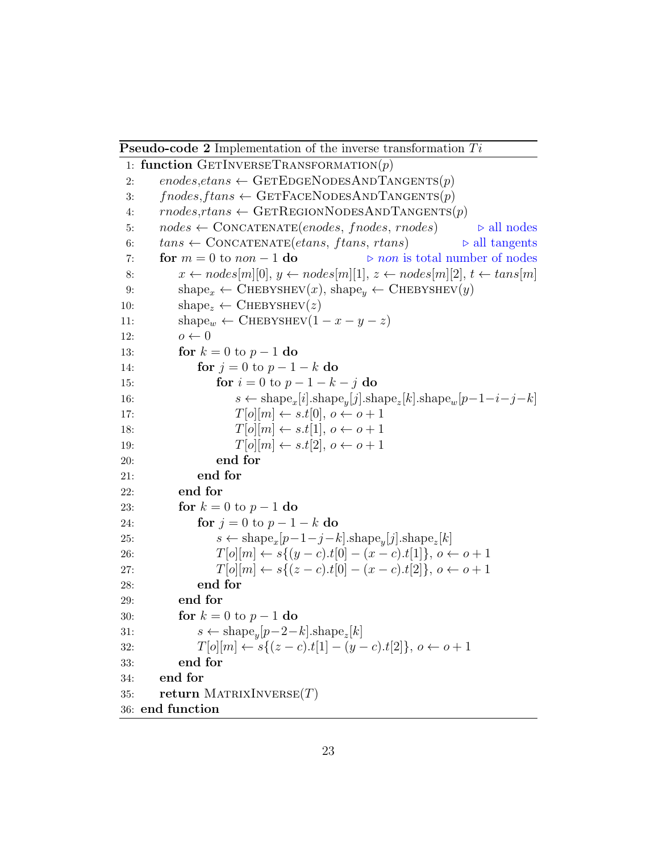**Pseudo-code 2** Implementation of the inverse transformation  $Ti$ 

1: function GETINVERSETRANSFORMATION $(p)$ 2: enodes, et ans  $\leftarrow$  GETEDGENODESANDTANGENTS $(p)$ 3:  $fnodes, ftons \leftarrow GETFACENODESANDTANGENTS(p)$ 4:  $rnodes, rtons \leftarrow GETREGIONNODESANDTANGENTS(p)$ 5:  $nodes \leftarrow \text{CONCATENATE}(enodes, modes, modes)$   $\rightarrow$  all nodes 6:  $tans \leftarrow \text{CONCATE}(\text{etans}, \text{ftans}, \text{rtans})$   $\triangleright$  all tangents 7: for  $m = 0$  to  $non - 1$  do  $\implies$  non is total number of nodes 8:  $x \leftarrow nodes[m][0], y \leftarrow nodes[m][1], z \leftarrow nodes[m][2], t \leftarrow tens[m]$ 9: shape<sub>x</sub> ← CHEBYSHEV(x), shape<sub>y</sub> ← CHEBYSHEV(y) 10:  $shape_z \leftarrow$  CHEBYSHEV(z) 11:  $\text{shape}_w \leftarrow \text{CHEBYSHEV}(1 - x - y - z)$ 12:  $o \leftarrow 0$ 13: **for**  $k = 0$  to  $p - 1$  do 14: **for**  $j = 0$  to  $p - 1 - k$  do 15: for  $i = 0$  to  $p - 1 - k - j$  do 16:  $s \leftarrow \text{shape}_x[i].\text{shape}_y[j].\text{shape}_z[k].\text{shape}_w[p-1-i-j-k]$ 17:  $T[o][m] \leftarrow s.t[0], o \leftarrow o + 1$ 18:  $T[o][m] \leftarrow s.t[1], o \leftarrow o + 1$ 19:  $T[o][m] \leftarrow s.t[2], o \leftarrow o + 1$ 20: end for 21: end for 22: end for 23: **for**  $k = 0$  to  $p - 1$  do 24: **for**  $j = 0$  to  $p - 1 - k$  do 25:  $s \leftarrow \text{shape}_x[p-1-j-k].\text{shape}_y[j].\text{shape}_z[k]$ 26:  $T[o][m] \leftarrow s\{(y-c).t[0] - (x-c).t[1]\}, o \leftarrow o + 1$ 27:  $T[o][m] \leftarrow s\{(z-c), t[0] - (x-c), t[2]\}, o \leftarrow o + 1$ 28: end for 29: end for 30: **for**  $k = 0$  to  $p - 1$  do 31:  $s \leftarrow \text{shape}_y[p-2-k].\text{shape}_z[k]$ 32:  $T[o][m] \leftarrow s\{(z-c).t[1] - (y-c).t[2]\}, o \leftarrow o + 1$ 33: end for 34: end for 35: return MATRIXINVERSE $(T)$ 36: end function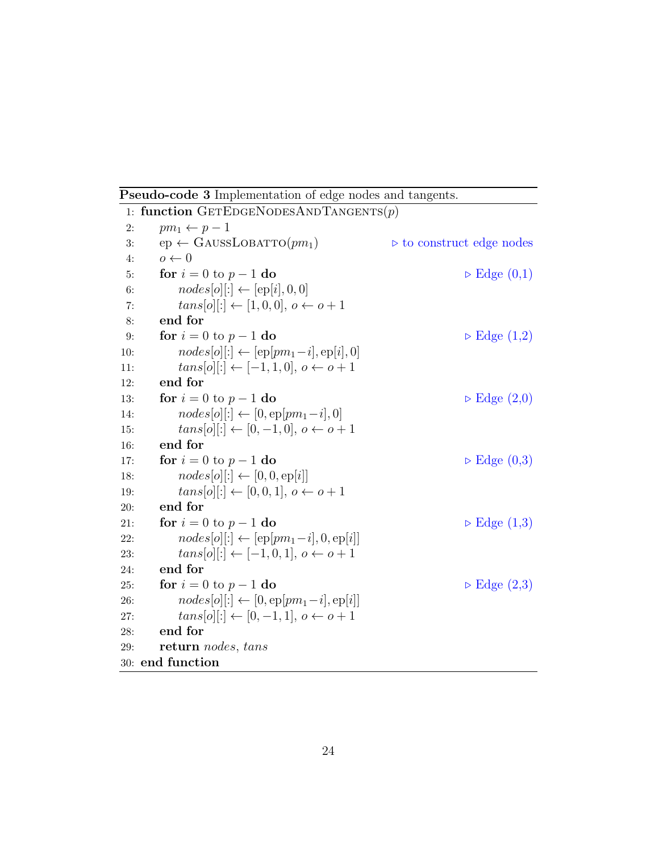Pseudo-code 3 Implementation of edge nodes and tangents.

```
1: function GETEDGENODESANDTANGENTS(p)2: pm_1 \leftarrow p-13: ep \leftarrow GAUSSLOBATTO(pm_1) \rightarrow to construct edge nodes
4: o \leftarrow 05: for i = 0 to p - 1 do \triangleright Edge (0,1)6: nodes[o][:] \leftarrow [ep[i], 0, 0]7: tans[o][:] \leftarrow [1, 0, 0], o \leftarrow o + 18: end for
9: for i = 0 to p - 1 do . Edge (1,2)
10: nodes[o][:] \leftarrow [ep[pm_1 - i], ep[i], 0]11: tans[<i>o</i>][:] ← [-1, 1, 0], <i>o</i> ← <i>o</i> + 112: end for
13: for i = 0 to p - 1 do \triangleright Edge (2,0)
14: nodes[o][:] \leftarrow [0, ep[pm_1 - i], 0]15: tans[o][:] \leftarrow [0, -1, 0], o \leftarrow o + 116: end for
17: for i = 0 to p - 1 do \triangleright Edge (0,3)
18: nodes[o][:] \leftarrow [0, 0, ep[i]]19: tans[0][:] \leftarrow [0, 0, 1], o \leftarrow o + 120: end for
21: for i = 0 to p - 1 do . Edge (1,3)
22: nodes[o][:] \leftarrow [ep[pm_1 - i], 0, ep[i]]23: tans[o][:] \leftarrow [-1, 0, 1], o \leftarrow o + 124: end for
25: for i = 0 to p - 1 do . Edge (2,3)
26: nodes[o][:] \leftarrow [0, ep[pm_1 - i], ep[i]]27: tans[<i>o</i>][:] \leftarrow [0, -1, 1], o \leftarrow o + 128: end for
29: return nodes, tans
30: end function
```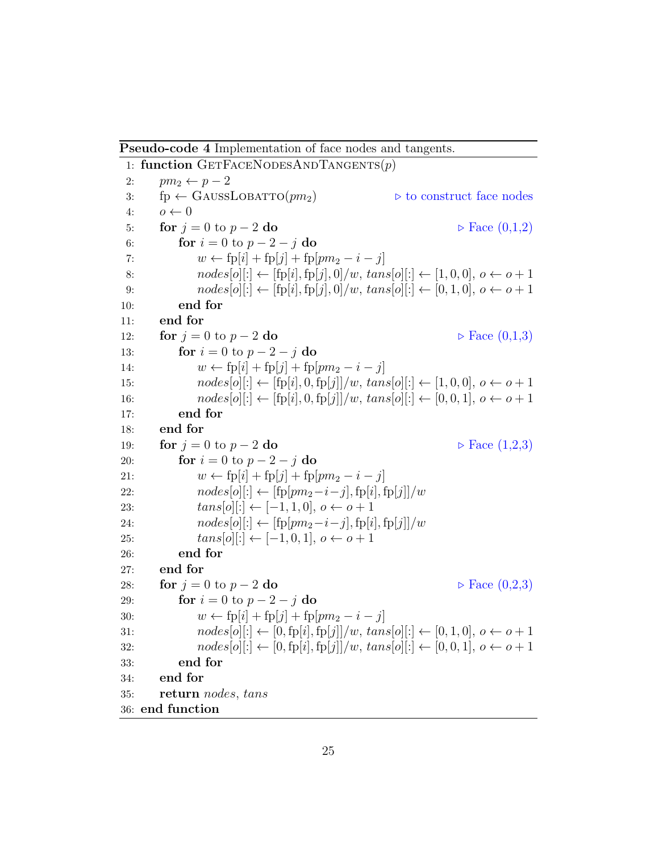Pseudo-code 4 Implementation of face nodes and tangents.

```
1: function GETFACENODESANDTANGENTS(p)2: pm_2 \leftarrow p-23: \text{fp} \leftarrow \text{GaussLoBATIO}(pm_2) \triangleright to construct face nodes
4: o \leftarrow 05: for j = 0 to p - 2 do . P Face (0,1,2)6: for i = 0 to p - 2 - j do
7: w \leftarrow fp[i] + fp[j] + fp[pm_2 - i - j]8: nodes[o][:] \leftarrow [fp[i], fp[j], 0]/w, \, \text{tans}[o][:] \leftarrow [1, 0, 0], o \leftarrow o + 19: nodes[o][:] \leftarrow [fp[i], fp[j], 0]/w, \, \text{tans}[o][:] \leftarrow [0, 1, 0], \, o \leftarrow o + 110: end for
11: end for
12: for j = 0 to p - 2 do . \triangleright Face (0,1,3)13: for i = 0 to p - 2 - j do
14: w \leftarrow fp[i] + fp[j] + fp[pm_2 - i - j]15: nodes[o][:] \leftarrow [fp[i], 0, fp[j]]/w, \, \text{tans}[o][:] \leftarrow [1, 0, 0], \, o \leftarrow o + 116: nodes[o][:] \leftarrow [fp[i], 0, fp[j]]/w, \, \text{tans}[o][:] \leftarrow [0, 0, 1], \, o \leftarrow o + 117: end for
18: end for
19: for j = 0 to p - 2 do . \triangleright Face (1,2,3)
20: for i = 0 to p - 2 - j do
21: w \leftarrow fp[i] + fp[j] + fp[pm_2 - i - j]22: nodes[o][:] \leftarrow [fp[pm_2-i-j], fp[i], fp[j]]/w23: tans[o][:] \leftarrow [-1, 1, 0], o \leftarrow o + 124: nodes[o][:] \leftarrow [fp[pm_2-i-j], fp[i], fp[j]]/w25: tans[o][:] \leftarrow [-1, 0, 1], o \leftarrow o + 126: end for
27: end for
28: for j = 0 to p - 2 do \triangleright Face (0,2,3)29: for i = 0 to p - 2 - j do
30: w \leftarrow fp[i] + fp[j] + fp[pm_2 - i - j]31: nodes[o][:] \leftarrow [0, fp[i], fp[j]]/w, tans[o][:] \leftarrow [0, 1, 0], o \leftarrow o + 132: nodes[o][:] \leftarrow [0, fp[i], fp[j]]/w, tans[o][:] \leftarrow [0, 0, 1], o \leftarrow o + 133: end for
34: end for
35: return nodes, tans
36: end function
```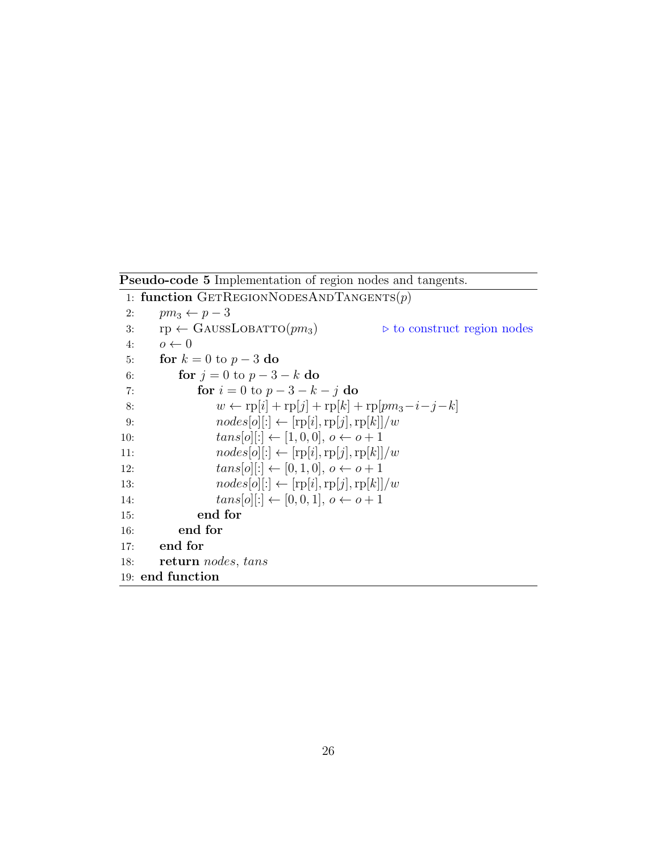Pseudo-code 5 Implementation of region nodes and tangents. 1: function GETREGIONNODESANDTANGENTS $(p)$ 2:  $pm_3 \leftarrow p-3$ 3:  $rp \leftarrow$  GAUSSLOBATTO( $pm_3$ )  $\rightarrow$  to construct region nodes 4:  $o \leftarrow 0$ 5: for  $k = 0$  to  $p - 3$  do 6: **for**  $j = 0$  to  $p - 3 - k$  do 7: **for**  $i = 0$  to  $p - 3 - k - j$  do 8:  $w \leftarrow \text{rp}[i] + \text{rp}[j] + \text{rp}[k] + \text{rp}[pm_3 - i - j - k]$ 9:  $nodes[o][:] \leftarrow [rp[i], rp[j], rp[k]]/w$ 10:  $tans[o][:] \leftarrow [1, 0, 0], o \leftarrow o + 1$ 11:  $nodes[o][:] \leftarrow [rp[i], rp[j], rp[k]]/w$ 12:  $tans[o][:] \leftarrow [0, 1, 0], o \leftarrow o + 1$ 13:  $nodes[o][:] \leftarrow [rp[i], rp[j], rp[k]]/w$ 14:  $tans[o][:] \leftarrow [0, 0, 1], o \leftarrow o + 1$ 15: end for 16: end for 17: end for 18: return nodes, tans 19: end function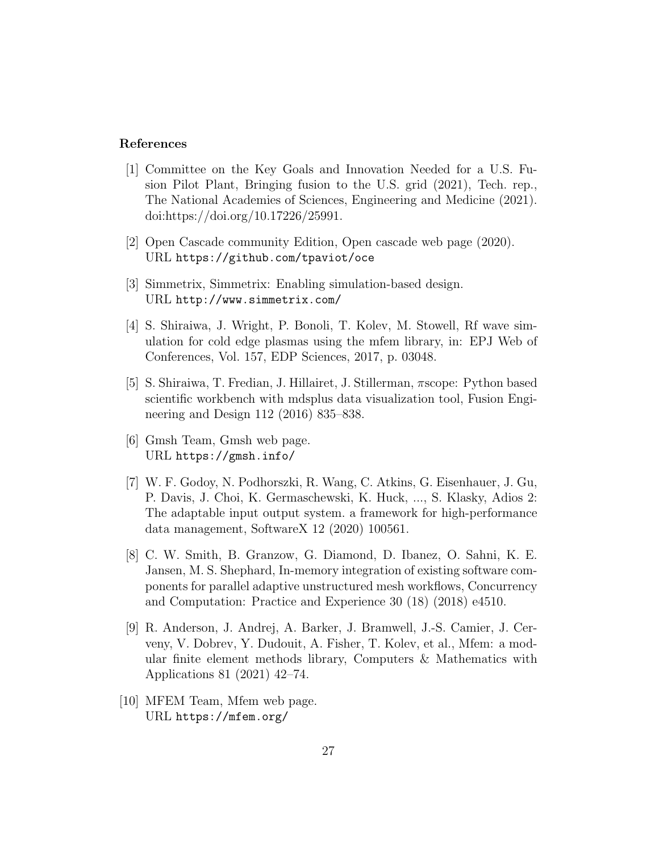#### References

- [1] Committee on the Key Goals and Innovation Needed for a U.S. Fusion Pilot Plant, Bringing fusion to the U.S. grid (2021), Tech. rep., The National Academies of Sciences, Engineering and Medicine (2021). doi:https://doi.org/10.17226/25991.
- [2] Open Cascade community Edition, Open cascade web page (2020). URL https://github.com/tpaviot/oce
- [3] Simmetrix, Simmetrix: Enabling simulation-based design. URL http://www.simmetrix.com/
- [4] S. Shiraiwa, J. Wright, P. Bonoli, T. Kolev, M. Stowell, Rf wave simulation for cold edge plasmas using the mfem library, in: EPJ Web of Conferences, Vol. 157, EDP Sciences, 2017, p. 03048.
- [5] S. Shiraiwa, T. Fredian, J. Hillairet, J. Stillerman, πscope: Python based scientific workbench with mdsplus data visualization tool, Fusion Engineering and Design 112 (2016) 835–838.
- [6] Gmsh Team, Gmsh web page. URL https://gmsh.info/
- [7] W. F. Godoy, N. Podhorszki, R. Wang, C. Atkins, G. Eisenhauer, J. Gu, P. Davis, J. Choi, K. Germaschewski, K. Huck, ..., S. Klasky, Adios 2: The adaptable input output system. a framework for high-performance data management, SoftwareX 12 (2020) 100561.
- [8] C. W. Smith, B. Granzow, G. Diamond, D. Ibanez, O. Sahni, K. E. Jansen, M. S. Shephard, In-memory integration of existing software components for parallel adaptive unstructured mesh workflows, Concurrency and Computation: Practice and Experience 30 (18) (2018) e4510.
- [9] R. Anderson, J. Andrej, A. Barker, J. Bramwell, J.-S. Camier, J. Cerveny, V. Dobrev, Y. Dudouit, A. Fisher, T. Kolev, et al., Mfem: a modular finite element methods library, Computers & Mathematics with Applications 81 (2021) 42–74.
- [10] MFEM Team, Mfem web page. URL https://mfem.org/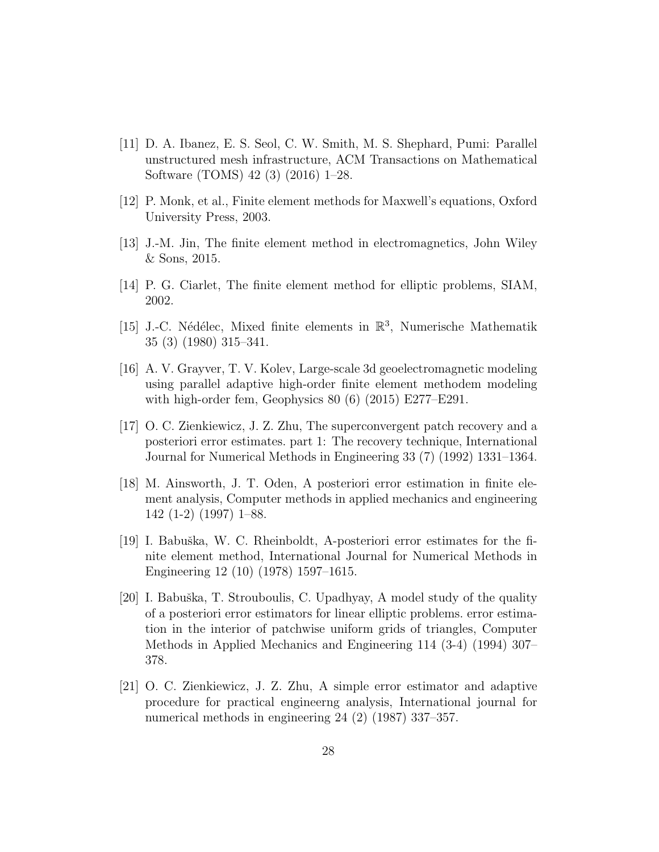- [11] D. A. Ibanez, E. S. Seol, C. W. Smith, M. S. Shephard, Pumi: Parallel unstructured mesh infrastructure, ACM Transactions on Mathematical Software (TOMS) 42 (3) (2016) 1–28.
- [12] P. Monk, et al., Finite element methods for Maxwell's equations, Oxford University Press, 2003.
- [13] J.-M. Jin, The finite element method in electromagnetics, John Wiley & Sons, 2015.
- [14] P. G. Ciarlet, The finite element method for elliptic problems, SIAM, 2002.
- [15] J.-C. Nédélec, Mixed finite elements in  $\mathbb{R}^3$ , Numerische Mathematik 35 (3) (1980) 315–341.
- [16] A. V. Grayver, T. V. Kolev, Large-scale 3d geoelectromagnetic modeling using parallel adaptive high-order finite element methodem modeling with high-order fem, Geophysics 80 (6) (2015) E277–E291.
- [17] O. C. Zienkiewicz, J. Z. Zhu, The superconvergent patch recovery and a posteriori error estimates. part 1: The recovery technique, International Journal for Numerical Methods in Engineering 33 (7) (1992) 1331–1364.
- [18] M. Ainsworth, J. T. Oden, A posteriori error estimation in finite element analysis, Computer methods in applied mechanics and engineering 142 (1-2) (1997) 1–88.
- [19] I. Babuška, W. C. Rheinboldt, A-posteriori error estimates for the finite element method, International Journal for Numerical Methods in Engineering 12 (10) (1978) 1597–1615.
- [20] I. Babuška, T. Strouboulis, C. Upadhyay, A model study of the quality of a posteriori error estimators for linear elliptic problems. error estimation in the interior of patchwise uniform grids of triangles, Computer Methods in Applied Mechanics and Engineering 114 (3-4) (1994) 307– 378.
- [21] O. C. Zienkiewicz, J. Z. Zhu, A simple error estimator and adaptive procedure for practical engineerng analysis, International journal for numerical methods in engineering 24 (2) (1987) 337–357.